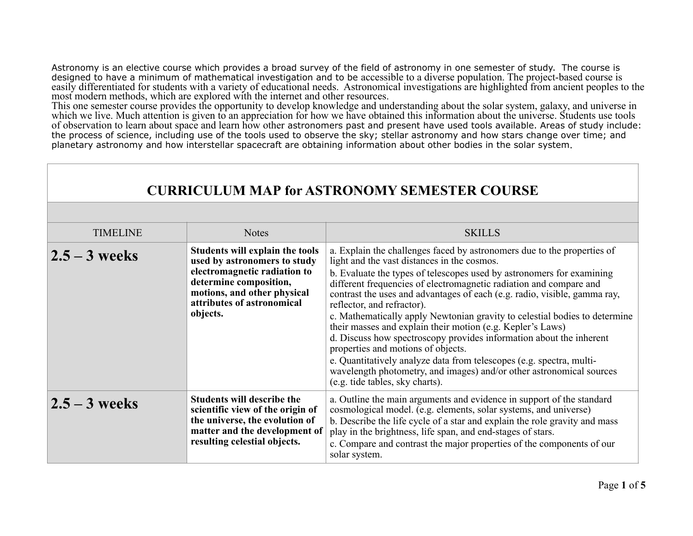Astronomy is an elective course which provides a broad survey of the field of astronomy in one semester of study. The course is designed to have a minimum of mathematical investigation and to be accessible to a diverse population. The project-based course is easily differentiated for students with a variety of educational needs. Astronomical investigations are highlighted from ancient peoples to the most modern methods, which are explored with the internet and other resources.

This one semester course provides the opportunity to develop knowledge and understanding about the solar system, galaxy, and universe in which we live. Much attention is given to an appreciation for how we have obtained this information about the universe. Students use tools of observation to learn about space and learn how other astronomers past and present have used tools available. Areas of study include: the process of science, including use of the tools used to observe the sky; stellar astronomy and how stars change over time; and planetary astronomy and how interstellar spacecraft are obtaining information about other bodies in the solar system.

| <b>CURRICULUM MAP for ASTRONOMY SEMESTER COURSE</b> |                                                                                                                                                                                                    |                                                                                                                                                                                                                                                                                                                                                                                                                                                                                                                                                                                                                                                                                                                                                                                                                              |  |
|-----------------------------------------------------|----------------------------------------------------------------------------------------------------------------------------------------------------------------------------------------------------|------------------------------------------------------------------------------------------------------------------------------------------------------------------------------------------------------------------------------------------------------------------------------------------------------------------------------------------------------------------------------------------------------------------------------------------------------------------------------------------------------------------------------------------------------------------------------------------------------------------------------------------------------------------------------------------------------------------------------------------------------------------------------------------------------------------------------|--|
|                                                     |                                                                                                                                                                                                    |                                                                                                                                                                                                                                                                                                                                                                                                                                                                                                                                                                                                                                                                                                                                                                                                                              |  |
| <b>TIMELINE</b>                                     | <b>Notes</b>                                                                                                                                                                                       | <b>SKILLS</b>                                                                                                                                                                                                                                                                                                                                                                                                                                                                                                                                                                                                                                                                                                                                                                                                                |  |
| $2.5 - 3$ weeks                                     | Students will explain the tools<br>used by astronomers to study<br>electromagnetic radiation to<br>determine composition,<br>motions, and other physical<br>attributes of astronomical<br>objects. | a. Explain the challenges faced by astronomers due to the properties of<br>light and the vast distances in the cosmos.<br>b. Evaluate the types of telescopes used by astronomers for examining<br>different frequencies of electromagnetic radiation and compare and<br>contrast the uses and advantages of each (e.g. radio, visible, gamma ray,<br>reflector, and refractor).<br>c. Mathematically apply Newtonian gravity to celestial bodies to determine<br>their masses and explain their motion (e.g. Kepler's Laws)<br>d. Discuss how spectroscopy provides information about the inherent<br>properties and motions of objects.<br>e. Quantitatively analyze data from telescopes (e.g. spectra, multi-<br>wavelength photometry, and images) and/or other astronomical sources<br>(e.g. tide tables, sky charts). |  |
| $2.5 - 3$ weeks                                     | <b>Students will describe the</b><br>scientific view of the origin of<br>the universe, the evolution of<br>matter and the development of<br>resulting celestial objects.                           | a. Outline the main arguments and evidence in support of the standard<br>cosmological model. (e.g. elements, solar systems, and universe)<br>b. Describe the life cycle of a star and explain the role gravity and mass<br>play in the brightness, life span, and end-stages of stars.<br>c. Compare and contrast the major properties of the components of our<br>solar system.                                                                                                                                                                                                                                                                                                                                                                                                                                             |  |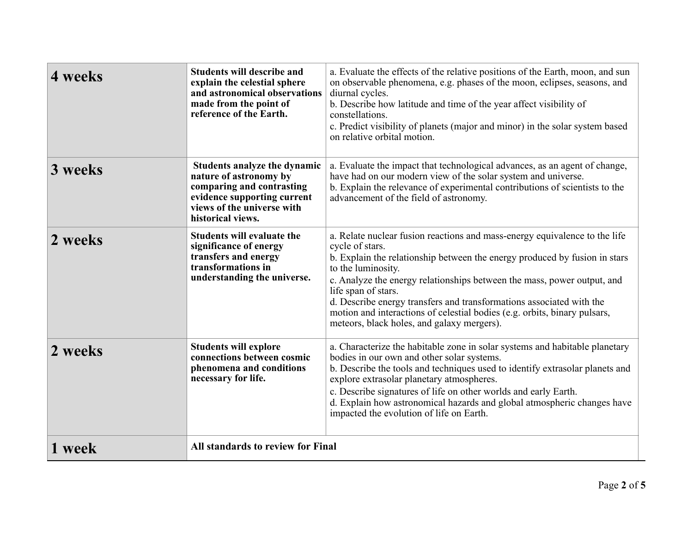| 4 weeks | <b>Students will describe and</b><br>explain the celestial sphere<br>and astronomical observations<br>made from the point of<br>reference of the Earth.               | a. Evaluate the effects of the relative positions of the Earth, moon, and sun<br>on observable phenomena, e.g. phases of the moon, eclipses, seasons, and<br>diurnal cycles.<br>b. Describe how latitude and time of the year affect visibility of<br>constellations.<br>c. Predict visibility of planets (major and minor) in the solar system based<br>on relative orbital motion.                                                                                                                   |
|---------|-----------------------------------------------------------------------------------------------------------------------------------------------------------------------|--------------------------------------------------------------------------------------------------------------------------------------------------------------------------------------------------------------------------------------------------------------------------------------------------------------------------------------------------------------------------------------------------------------------------------------------------------------------------------------------------------|
| 3 weeks | Students analyze the dynamic<br>nature of astronomy by<br>comparing and contrasting<br>evidence supporting current<br>views of the universe with<br>historical views. | a. Evaluate the impact that technological advances, as an agent of change,<br>have had on our modern view of the solar system and universe.<br>b. Explain the relevance of experimental contributions of scientists to the<br>advancement of the field of astronomy.                                                                                                                                                                                                                                   |
| 2 weeks | <b>Students will evaluate the</b><br>significance of energy<br>transfers and energy<br>transformations in<br>understanding the universe.                              | a. Relate nuclear fusion reactions and mass-energy equivalence to the life<br>cycle of stars.<br>b. Explain the relationship between the energy produced by fusion in stars<br>to the luminosity.<br>c. Analyze the energy relationships between the mass, power output, and<br>life span of stars.<br>d. Describe energy transfers and transformations associated with the<br>motion and interactions of celestial bodies (e.g. orbits, binary pulsars,<br>meteors, black holes, and galaxy mergers). |
| 2 weeks | <b>Students will explore</b><br>connections between cosmic<br>phenomena and conditions<br>necessary for life.                                                         | a. Characterize the habitable zone in solar systems and habitable planetary<br>bodies in our own and other solar systems.<br>b. Describe the tools and techniques used to identify extrasolar planets and<br>explore extrasolar planetary atmospheres.<br>c. Describe signatures of life on other worlds and early Earth.<br>d. Explain how astronomical hazards and global atmospheric changes have<br>impacted the evolution of life on Earth.                                                       |
| 1 week  | All standards to review for Final                                                                                                                                     |                                                                                                                                                                                                                                                                                                                                                                                                                                                                                                        |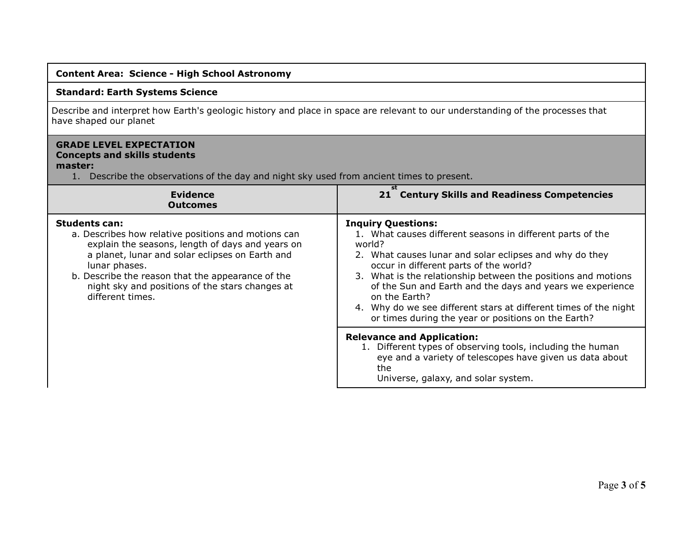## **Content Area: Science - High School Astronomy**

## **Standard: Earth Systems Science**

Describe and interpret how Earth's geologic history and place in space are relevant to our understanding of the processes that have shaped our planet

## **GRADE LEVEL EXPECTATION Concepts and skills students master:**

1. Describe the observations of the day and night sky used from ancient times to present.

| <b>Evidence</b><br><b>Outcomes</b>                                                                                                                                                                                                                                                                                              | st<br>21 Century Skills and Readiness Competencies                                                                                                                                                                                                                                                                                                                                                                                                                               |
|---------------------------------------------------------------------------------------------------------------------------------------------------------------------------------------------------------------------------------------------------------------------------------------------------------------------------------|----------------------------------------------------------------------------------------------------------------------------------------------------------------------------------------------------------------------------------------------------------------------------------------------------------------------------------------------------------------------------------------------------------------------------------------------------------------------------------|
| <b>Students can:</b><br>a. Describes how relative positions and motions can<br>explain the seasons, length of days and years on<br>a planet, lunar and solar eclipses on Earth and<br>lunar phases.<br>b. Describe the reason that the appearance of the<br>night sky and positions of the stars changes at<br>different times. | <b>Inquiry Questions:</b><br>1. What causes different seasons in different parts of the<br>world?<br>2. What causes lunar and solar eclipses and why do they<br>occur in different parts of the world?<br>3. What is the relationship between the positions and motions<br>of the Sun and Earth and the days and years we experience<br>on the Earth?<br>4. Why do we see different stars at different times of the night<br>or times during the year or positions on the Earth? |
|                                                                                                                                                                                                                                                                                                                                 | <b>Relevance and Application:</b><br>1. Different types of observing tools, including the human<br>eye and a variety of telescopes have given us data about<br>the<br>Universe, galaxy, and solar system.                                                                                                                                                                                                                                                                        |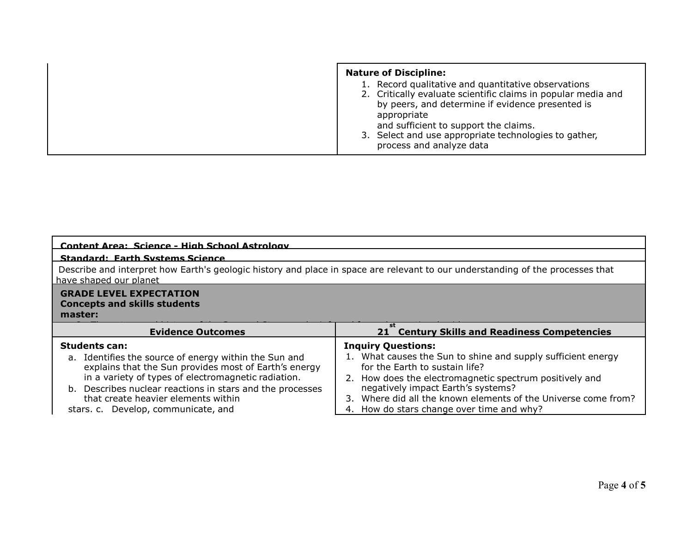| <b>Nature of Discipline:</b>                                                                                                                                                                                                                                                                                          |
|-----------------------------------------------------------------------------------------------------------------------------------------------------------------------------------------------------------------------------------------------------------------------------------------------------------------------|
| 1. Record qualitative and quantitative observations<br>2. Critically evaluate scientific claims in popular media and<br>by peers, and determine if evidence presented is<br>appropriate<br>and sufficient to support the claims.<br>3. Select and use appropriate technologies to gather,<br>process and analyze data |

| Content Area: Science - High School Astrology                                                                                                                                                                                                                                                                                            |                                                                                                                                                                                                                                                                                                                                             |  |  |  |
|------------------------------------------------------------------------------------------------------------------------------------------------------------------------------------------------------------------------------------------------------------------------------------------------------------------------------------------|---------------------------------------------------------------------------------------------------------------------------------------------------------------------------------------------------------------------------------------------------------------------------------------------------------------------------------------------|--|--|--|
| <b>Standard: Earth Systems Science</b>                                                                                                                                                                                                                                                                                                   |                                                                                                                                                                                                                                                                                                                                             |  |  |  |
| Describe and interpret how Earth's geologic history and place in space are relevant to our understanding of the processes that<br>have shaped our planet                                                                                                                                                                                 |                                                                                                                                                                                                                                                                                                                                             |  |  |  |
| <b>GRADE LEVEL EXPECTATION</b><br><b>Concepts and skills students</b><br>master:                                                                                                                                                                                                                                                         |                                                                                                                                                                                                                                                                                                                                             |  |  |  |
| <b>Evidence Outcomes</b>                                                                                                                                                                                                                                                                                                                 | 21 Century Skills and Readiness Competencies                                                                                                                                                                                                                                                                                                |  |  |  |
| <b>Students can:</b><br>a. Identifies the source of energy within the Sun and<br>explains that the Sun provides most of Earth's energy<br>in a variety of types of electromagnetic radiation.<br>b. Describes nuclear reactions in stars and the processes<br>that create heavier elements within<br>stars. c. Develop, communicate, and | <b>Inquiry Questions:</b><br>1. What causes the Sun to shine and supply sufficient energy<br>for the Earth to sustain life?<br>2. How does the electromagnetic spectrum positively and<br>negatively impact Earth's systems?<br>3. Where did all the known elements of the Universe come from?<br>4. How do stars change over time and why? |  |  |  |